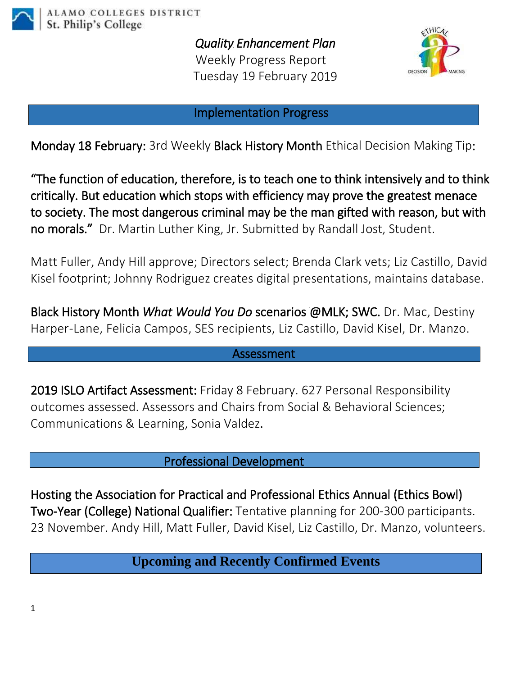

Ī

*Quality Enhancement Plan* Weekly Progress Report Tuesday 19 February 2019



## Implementation Progress

Monday 18 February: 3rd Weekly Black History Month Ethical Decision Making Tip:

"The function of education, therefore, is to teach one to think intensively and to think critically. But education which stops with efficiency may prove the greatest menace to society. The most dangerous criminal may be the man gifted with reason, but with no morals." Dr. Martin Luther King, Jr. Submitted by Randall Jost, Student.

Matt Fuller, Andy Hill approve; Directors select; Brenda Clark vets; Liz Castillo, David Kisel footprint; Johnny Rodriguez creates digital presentations, maintains database.

Black History Month *What Would You Do* scenarios @MLK; SWC. Dr. Mac, Destiny Harper-Lane, Felicia Campos, SES recipients, Liz Castillo, David Kisel, Dr. Manzo.

## Assessment

2019 ISLO Artifact Assessment: Friday 8 February. 627 Personal Responsibility outcomes assessed. Assessors and Chairs from Social & Behavioral Sciences; Communications & Learning, Sonia Valdez.

## Professional Development

Hosting the Association for Practical and Professional Ethics Annual (Ethics Bowl) Two-Year (College) National Qualifier: Tentative planning for 200-300 participants. 23 November. Andy Hill, Matt Fuller, David Kisel, Liz Castillo, Dr. Manzo, volunteers.

**Upcoming and Recently Confirmed Events**